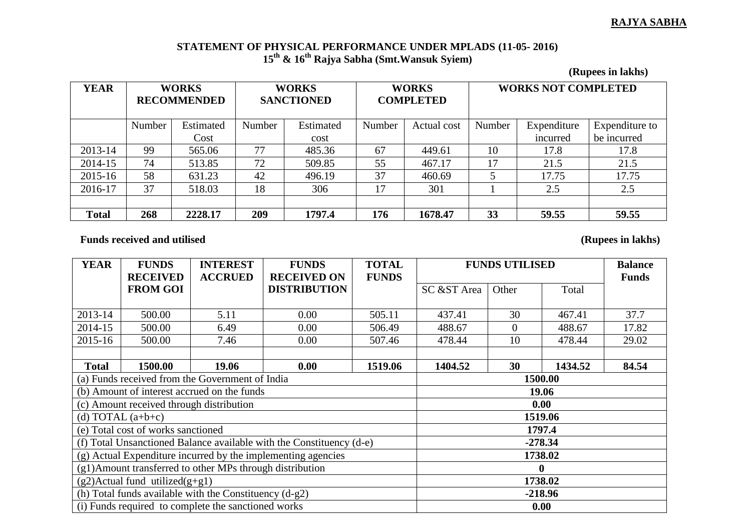## **RAJYA SABHA**

## **STATEMENT OF PHYSICAL PERFORMANCE UNDER MPLADS (11-05- 2016) 15th & 16th Rajya Sabha (Smt.Wansuk Syiem)**

**(Rupees in lakhs)**

| <b>YEAR</b>  | <b>WORKS</b><br><b>RECOMMENDED</b> |           | <b>WORKS</b><br><b>SANCTIONED</b> |           | <b>WORKS</b><br><b>COMPLETED</b> |             | <b>WORKS NOT COMPLETED</b> |             |                |
|--------------|------------------------------------|-----------|-----------------------------------|-----------|----------------------------------|-------------|----------------------------|-------------|----------------|
|              | Number                             | Estimated | Number                            | Estimated | Number                           | Actual cost | Number                     | Expenditure | Expenditure to |
|              |                                    | Cost      |                                   | cost      |                                  |             |                            | incurred    | be incurred    |
| 2013-14      | 99                                 | 565.06    | 77                                | 485.36    | 67                               | 449.61      | 10                         | 17.8        | 17.8           |
| 2014-15      | 74                                 | 513.85    | 72                                | 509.85    | 55                               | 467.17      | 17                         | 21.5        | 21.5           |
| 2015-16      | 58                                 | 631.23    | 42                                | 496.19    | 37                               | 460.69      |                            | 17.75       | 17.75          |
| 2016-17      | 37                                 | 518.03    | 18                                | 306       | 17                               | 301         |                            | 2.5         | 2.5            |
|              |                                    |           |                                   |           |                                  |             |                            |             |                |
| <b>Total</b> | 268                                | 2228.17   | 209                               | 1797.4    | 176                              | 1678.47     | 33                         | 59.55       | 59.55          |

Funds received and utilised (Rupees in lakhs)

| <b>YEAR</b>                                              | <b>FUNDS</b>                             | <b>INTEREST</b>                                                      | <b>FUNDS</b>        | <b>TOTAL</b> | <b>FUNDS UTILISED</b> |                |         | <b>Balance</b> |  |
|----------------------------------------------------------|------------------------------------------|----------------------------------------------------------------------|---------------------|--------------|-----------------------|----------------|---------|----------------|--|
|                                                          | <b>RECEIVED</b>                          | <b>ACCRUED</b>                                                       | <b>RECEIVED ON</b>  | <b>FUNDS</b> |                       |                |         | <b>Funds</b>   |  |
|                                                          | <b>FROM GOI</b>                          |                                                                      | <b>DISTRIBUTION</b> |              | SC &ST Area           | Other          | Total   |                |  |
|                                                          |                                          |                                                                      |                     |              |                       |                |         |                |  |
| 2013-14                                                  | 500.00                                   | 5.11                                                                 | 0.00                | 505.11       | 437.41                | 30             | 467.41  | 37.7           |  |
| 2014-15                                                  | 500.00                                   | 6.49                                                                 | 0.00                | 506.49       | 488.67                | $\overline{0}$ | 488.67  | 17.82          |  |
| 2015-16                                                  | 500.00                                   | 7.46                                                                 | 0.00                | 507.46       | 478.44                | 10             | 478.44  | 29.02          |  |
|                                                          |                                          |                                                                      |                     |              |                       |                |         |                |  |
| <b>Total</b>                                             | 1500.00                                  | 19.06                                                                | 0.00                | 1519.06      | 1404.52               | 30             | 1434.52 | 84.54          |  |
|                                                          |                                          | (a) Funds received from the Government of India                      |                     |              | 1500.00               |                |         |                |  |
|                                                          |                                          | (b) Amount of interest accrued on the funds                          | 19.06               |              |                       |                |         |                |  |
|                                                          | (c) Amount received through distribution |                                                                      | 0.00                |              |                       |                |         |                |  |
|                                                          | (d) TOTAL $(a+b+c)$                      |                                                                      | 1519.06             |              |                       |                |         |                |  |
|                                                          | (e) Total cost of works sanctioned       |                                                                      | 1797.4              |              |                       |                |         |                |  |
|                                                          |                                          | (f) Total Unsanctioned Balance available with the Constituency (d-e) | $-278.34$           |              |                       |                |         |                |  |
|                                                          |                                          | (g) Actual Expenditure incurred by the implementing agencies         | 1738.02             |              |                       |                |         |                |  |
| (g1)Amount transferred to other MPs through distribution |                                          |                                                                      |                     |              |                       |                |         |                |  |
|                                                          | $(g2)$ Actual fund utilized $(g+g1)$     |                                                                      | 1738.02             |              |                       |                |         |                |  |
|                                                          |                                          | (h) Total funds available with the Constituency $(d-g2)$             | $-218.96$           |              |                       |                |         |                |  |
| (i) Funds required to complete the sanctioned works      |                                          |                                                                      |                     |              | 0.00                  |                |         |                |  |